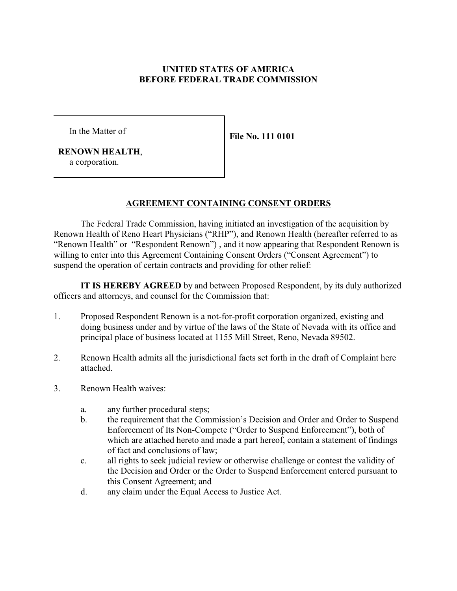# **UNITED STATES OF AMERICA BEFORE FEDERAL TRADE COMMISSION**

In the Matter of

**File No. 111 0101**

 **RENOWN HEALTH**, a corporation.

# **AGREEMENT CONTAINING CONSENT ORDERS**

The Federal Trade Commission, having initiated an investigation of the acquisition by Renown Health of Reno Heart Physicians ("RHP"), and Renown Health (hereafter referred to as "Renown Health" or "Respondent Renown") , and it now appearing that Respondent Renown is willing to enter into this Agreement Containing Consent Orders ("Consent Agreement") to suspend the operation of certain contracts and providing for other relief:

**IT IS HEREBY AGREED** by and between Proposed Respondent, by its duly authorized officers and attorneys, and counsel for the Commission that:

- 1. Proposed Respondent Renown is a not-for-profit corporation organized, existing and doing business under and by virtue of the laws of the State of Nevada with its office and principal place of business located at 1155 Mill Street, Reno, Nevada 89502.
- 2. Renown Health admits all the jurisdictional facts set forth in the draft of Complaint here attached.
- 3. Renown Health waives:
	- a. any further procedural steps;
	- b. the requirement that the Commission's Decision and Order and Order to Suspend Enforcement of Its Non-Compete ("Order to Suspend Enforcement"), both of which are attached hereto and made a part hereof, contain a statement of findings of fact and conclusions of law;
	- c. all rights to seek judicial review or otherwise challenge or contest the validity of the Decision and Order or the Order to Suspend Enforcement entered pursuant to this Consent Agreement; and
	- d. any claim under the Equal Access to Justice Act.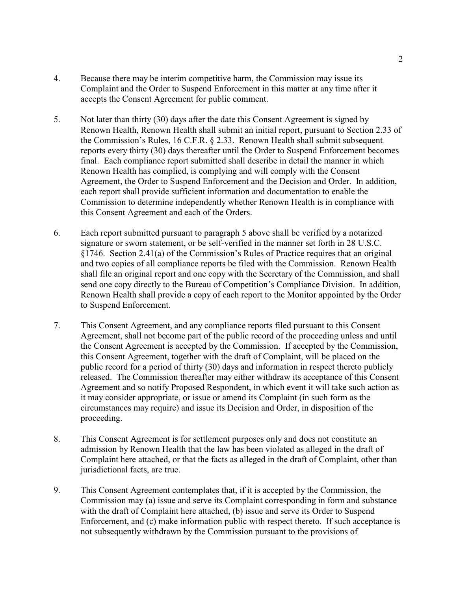- 4. Because there may be interim competitive harm, the Commission may issue its Complaint and the Order to Suspend Enforcement in this matter at any time after it accepts the Consent Agreement for public comment.
- 5. Not later than thirty (30) days after the date this Consent Agreement is signed by Renown Health, Renown Health shall submit an initial report, pursuant to Section 2.33 of the Commission's Rules, 16 C.F.R. § 2.33. Renown Health shall submit subsequent reports every thirty (30) days thereafter until the Order to Suspend Enforcement becomes final. Each compliance report submitted shall describe in detail the manner in which Renown Health has complied, is complying and will comply with the Consent Agreement, the Order to Suspend Enforcement and the Decision and Order. In addition, each report shall provide sufficient information and documentation to enable the Commission to determine independently whether Renown Health is in compliance with this Consent Agreement and each of the Orders.
- 6. Each report submitted pursuant to paragraph 5 above shall be verified by a notarized signature or sworn statement, or be self-verified in the manner set forth in 28 U.S.C. §1746. Section 2.41(a) of the Commission's Rules of Practice requires that an original and two copies of all compliance reports be filed with the Commission. Renown Health shall file an original report and one copy with the Secretary of the Commission, and shall send one copy directly to the Bureau of Competition's Compliance Division. In addition, Renown Health shall provide a copy of each report to the Monitor appointed by the Order to Suspend Enforcement.
- 7. This Consent Agreement, and any compliance reports filed pursuant to this Consent Agreement, shall not become part of the public record of the proceeding unless and until the Consent Agreement is accepted by the Commission. If accepted by the Commission, this Consent Agreement, together with the draft of Complaint, will be placed on the public record for a period of thirty (30) days and information in respect thereto publicly released. The Commission thereafter may either withdraw its acceptance of this Consent Agreement and so notify Proposed Respondent, in which event it will take such action as it may consider appropriate, or issue or amend its Complaint (in such form as the circumstances may require) and issue its Decision and Order, in disposition of the proceeding.
- 8. This Consent Agreement is for settlement purposes only and does not constitute an admission by Renown Health that the law has been violated as alleged in the draft of Complaint here attached, or that the facts as alleged in the draft of Complaint, other than jurisdictional facts, are true.
- 9. This Consent Agreement contemplates that, if it is accepted by the Commission, the Commission may (a) issue and serve its Complaint corresponding in form and substance with the draft of Complaint here attached, (b) issue and serve its Order to Suspend Enforcement, and (c) make information public with respect thereto. If such acceptance is not subsequently withdrawn by the Commission pursuant to the provisions of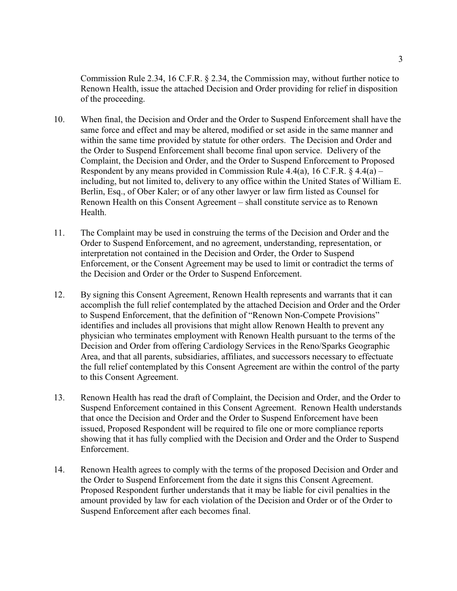Commission Rule 2.34, 16 C.F.R. § 2.34, the Commission may, without further notice to Renown Health, issue the attached Decision and Order providing for relief in disposition of the proceeding.

- 10. When final, the Decision and Order and the Order to Suspend Enforcement shall have the same force and effect and may be altered, modified or set aside in the same manner and within the same time provided by statute for other orders. The Decision and Order and the Order to Suspend Enforcement shall become final upon service. Delivery of the Complaint, the Decision and Order, and the Order to Suspend Enforcement to Proposed Respondent by any means provided in Commission Rule 4.4(a), 16 C.F.R.  $\S$  4.4(a) – including, but not limited to, delivery to any office within the United States of William E. Berlin, Esq., of Ober Kaler; or of any other lawyer or law firm listed as Counsel for Renown Health on this Consent Agreement – shall constitute service as to Renown Health.
- 11. The Complaint may be used in construing the terms of the Decision and Order and the Order to Suspend Enforcement, and no agreement, understanding, representation, or interpretation not contained in the Decision and Order, the Order to Suspend Enforcement, or the Consent Agreement may be used to limit or contradict the terms of the Decision and Order or the Order to Suspend Enforcement.
- 12. By signing this Consent Agreement, Renown Health represents and warrants that it can accomplish the full relief contemplated by the attached Decision and Order and the Order to Suspend Enforcement, that the definition of "Renown Non-Compete Provisions" identifies and includes all provisions that might allow Renown Health to prevent any physician who terminates employment with Renown Health pursuant to the terms of the Decision and Order from offering Cardiology Services in the Reno/Sparks Geographic Area, and that all parents, subsidiaries, affiliates, and successors necessary to effectuate the full relief contemplated by this Consent Agreement are within the control of the party to this Consent Agreement.
- 13. Renown Health has read the draft of Complaint, the Decision and Order, and the Order to Suspend Enforcement contained in this Consent Agreement. Renown Health understands that once the Decision and Order and the Order to Suspend Enforcement have been issued, Proposed Respondent will be required to file one or more compliance reports showing that it has fully complied with the Decision and Order and the Order to Suspend Enforcement.
- 14. Renown Health agrees to comply with the terms of the proposed Decision and Order and the Order to Suspend Enforcement from the date it signs this Consent Agreement. Proposed Respondent further understands that it may be liable for civil penalties in the amount provided by law for each violation of the Decision and Order or of the Order to Suspend Enforcement after each becomes final.